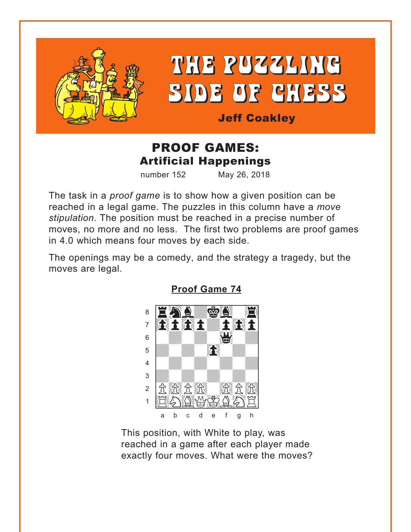<span id="page-0-0"></span>

# THE PUZZLING SIDE OF CHESS

**Jeff Coakley** 

## **PROOF GAMES: Artificial Happenings**

number 152 May 26, 2018

The task in a *proof game* is to show how a given position can be reached in a legal game. The puzzles in this column have a move stipulation. The position must be reached in a precise number of moves, no more and no less. The first two problems are proof games in 4.0 which means four moves by each side.

The openings may be a comedy, and the strategy a tragedy, but the moves are legal.



**Proof Game 74** 

This position, with White to play, was reached in a game after each player made exactly four moves. What were the moves?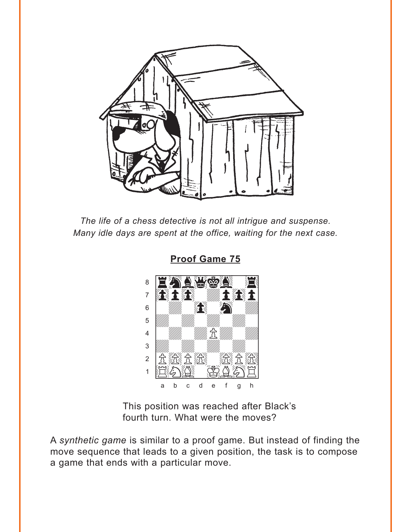<span id="page-1-0"></span>

The life of a chess detective is not all intrigue and suspense. Many idle days are spent at the office, waiting for the next case.



**Proof Game 75** 

This position was reached after Black's fourth turn. What were the moves?

A synthetic game is similar to a proof game. But instead of finding the move sequence that leads to a given position, the task is to compose a game that ends with a particular move.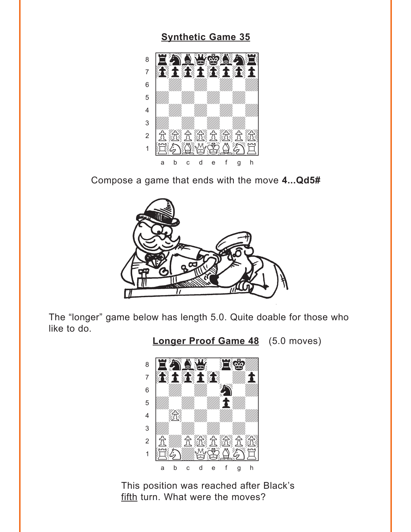#### **[Synthetic Game 35](#page-5-0)**

<span id="page-2-0"></span>

Compose a game that ends with the move **4...Qd5#**



The "longer" game below has length 5.0. Quite doable for those who like to do.

**[Longer Proof Game 48](#page-6-0)** (5.0 moves)



This position was reached after Black's fifth turn. What were the moves?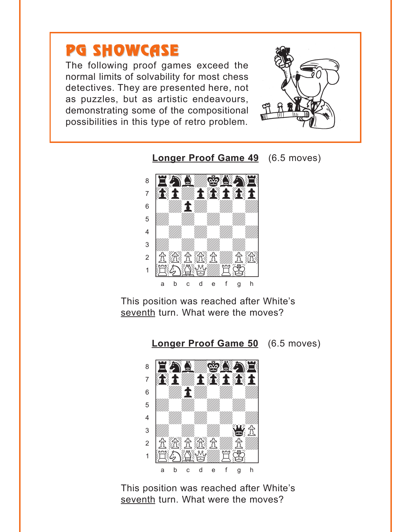## <span id="page-3-0"></span>PG SHOWCASE

The following proof games exceed the normal limits of solvability for most chess detectives. They are presented here, not as puzzles, but as artistic endeavours, demonstrating some of the compositional possibilities in this type of retro problem.







This position was reached after White's seventh turn. What were the moves?

**[Longer Proof Game 50](#page-8-0)** (6.5 moves)



This position was reached after White's seventh turn. What were the moves?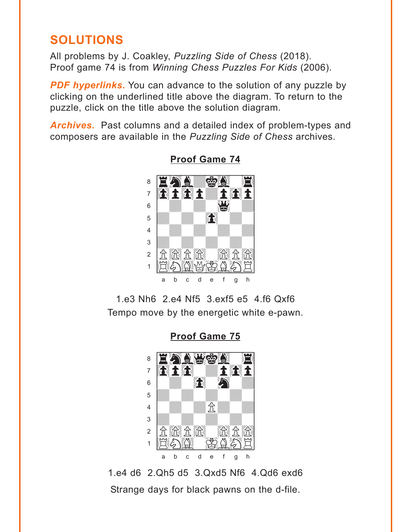## <span id="page-4-0"></span>**SOLUTIONS**

All problems by J. Coakley, Puzzling Side of Chess (2018). Proof game 74 is from Winning Chess Puzzles For Kids (2006).

**PDF hyperlinks.** You can advance to the solution of any puzzle by clicking on the underlined title above the diagram. To return to the puzzle, click on the title above the solution diagram.

**Archives.** Past columns and a detailed index of problem-types and composers are available in the Puzzling Side of Chess archives.



**Proof Game 74** 

1.e3 Nh6 2.e4 Nf5 3.exf5 e5 4.f6 Qxf6 Tempo move by the energetic white e-pawn.

**Proof Game 75** 



1.e4 d6 2.Qh5 d5 3.Qxd5 Nf6 4.Qd6 exd6 Strange days for black pawns on the d-file.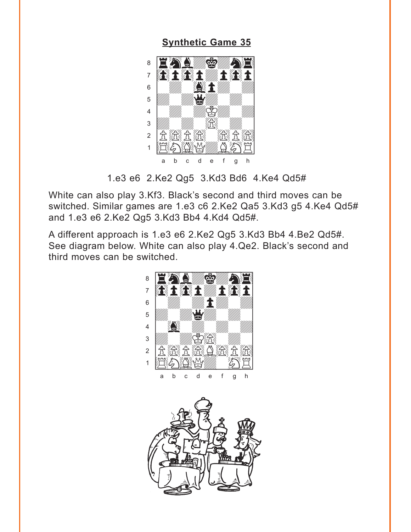#### **[Synthetic Game 35](#page-2-0)**

<span id="page-5-0"></span>

<sup>1.</sup>e3 e6 2.Ke2 Qg5 3.Kd3 Bd6 4.Ke4 Qd5#

White can also play 3.Kf3. Black's second and third moves can be switched. Similar games are 1.e3 c6 2.Ke2 Qa5 3.Kd3 g5 4.Ke4 Qd5# and 1.e3 e6 2.Ke2 Qg5 3.Kd3 Bb4 4.Kd4 Qd5#.

A different approach is 1.e3 e6 2.Ke2 Qg5 3.Kd3 Bb4 4.Be2 Qd5#. See diagram below. White can also play 4.Qe2. Black's second and third moves can be switched. with the set of the set of the set of the set of the set of the set of the set of the set of the set of the set of the set of the set of the set of the set of the set of the set of the set of the set of the set of the set



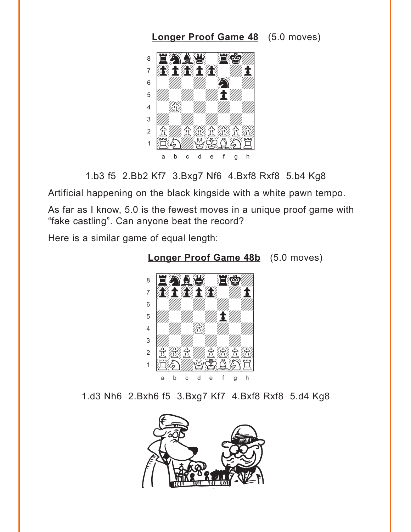### **[Longer Proof Game 48](#page-2-0)** (5.0 moves)

<span id="page-6-0"></span>

1.b3 f5 2.Bb2 Kf7 3.Bxg7 Nf6 4.Bxf8 Rxf8 5.b4 Kg8

Artificial happening on the black kingside with a white pawn tempo.

As far as I know, 5.0 is the fewest moves in a unique proof game with "fake castling". Can anyone beat the record?

Here is a similar game of equal length:



**[Longer Proof Game 48b](#page-2-0)** (5.0 moves)

1.d3 Nh6 2.Bxh6 f5 3.Bxg7 Kf7 4.Bxf8 Rxf8 5.d4 Kg8

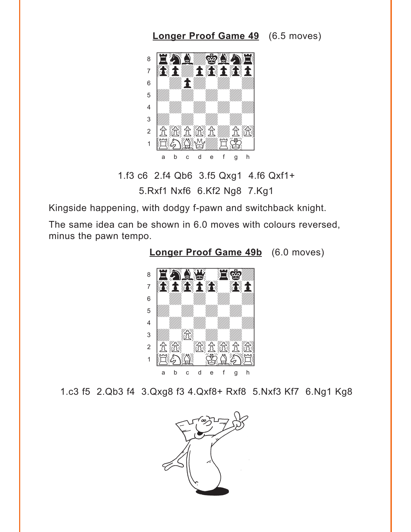## **[Longer Proof Game 49](#page-3-0)** (6.5 moves)

<span id="page-7-0"></span>

1.f3 c6 2.f4 Qb6 3.f5 Qxg1 4.f6 Qxf1+

5.Rxf1 Nxf6 6.Kf2 Ng8 7.Kg1

Kingside happening, with dodgy f-pawn and switchback knight.

The same idea can be shown in 6.0 moves with colours reversed, minus the pawn tempo.



**[Longer Proof Game 49b](#page-3-0)** (6.0 moves)

1.c3 f5 2.Qb3 f4 3.Qxg8 f3 4.Qxf8+ Rxf8 5.Nxf3 Kf7 6.Ng1 Kg8